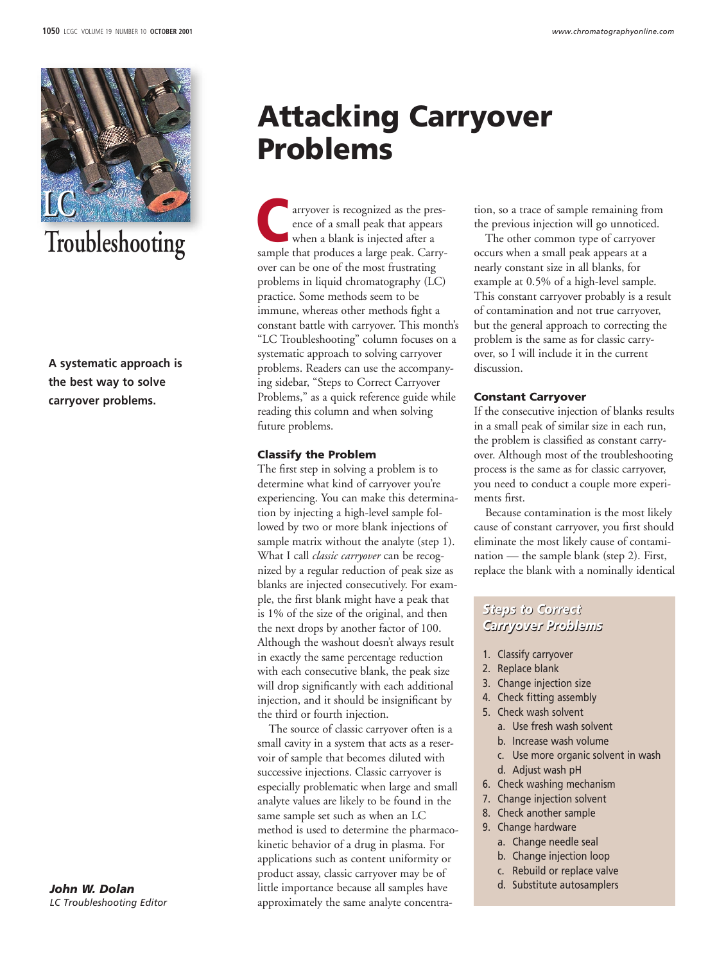

# **Troubleshooting**

**A systematic approach is the best way to solve carryover problems.**

#### *John W. Dolan LC Troubleshooting Editor*

## **Attacking Carryover Problems**

arryover is recognized as the presence of a small peak that appears when a blank is injected after a arryover is recognized as the presence of a small peak that appears<br>when a blank is injected after a<br>sample that produces a large peak. Carryover can be one of the most frustrating problems in liquid chromatography (LC) practice. Some methods seem to be immune, whereas other methods fight a constant battle with carryover. This month's "LC Troubleshooting" column focuses on a systematic approach to solving carryover problems. Readers can use the accompanying sidebar, "Steps to Correct Carryover Problems," as a quick reference guide while reading this column and when solving future problems.

### **Classify the Problem**

The first step in solving a problem is to determine what kind of carryover you're experiencing. You can make this determination by injecting a high-level sample followed by two or more blank injections of sample matrix without the analyte (step 1). What I call *classic carryover* can be recognized by a regular reduction of peak size as blanks are injected consecutively. For example, the first blank might have a peak that is 1% of the size of the original, and then the next drops by another factor of 100. Although the washout doesn't always result in exactly the same percentage reduction with each consecutive blank, the peak size will drop significantly with each additional injection, and it should be insignificant by the third or fourth injection.

The source of classic carryover often is a small cavity in a system that acts as a reservoir of sample that becomes diluted with successive injections. Classic carryover is especially problematic when large and small analyte values are likely to be found in the same sample set such as when an LC method is used to determine the pharmacokinetic behavior of a drug in plasma. For applications such as content uniformity or product assay, classic carryover may be of little importance because all samples have approximately the same analyte concentra-

tion, so a trace of sample remaining from the previous injection will go unnoticed.

The other common type of carryover occurs when a small peak appears at a nearly constant size in all blanks, for example at 0.5% of a high-level sample. This constant carryover probably is a result of contamination and not true carryover, but the general approach to correcting the problem is the same as for classic carryover, so I will include it in the current discussion.

### **Constant Carryover**

If the consecutive injection of blanks results in a small peak of similar size in each run, the problem is classified as constant carryover. Although most of the troubleshooting process is the same as for classic carryover, you need to conduct a couple more experiments first.

Because contamination is the most likely cause of constant carryover, you first should eliminate the most likely cause of contamination — the sample blank (step 2). First, replace the blank with a nominally identical

## *Steps to Correct Steps to Correct Carryover Problems Carryover Problems*

- 1. Classify carryover
- 2. Replace blank
- 3. Change injection size
- 4. Check fitting assembly
- 5. Check wash solvent
	- a. Use fresh wash solvent
	- b. Increase wash volume
	- c. Use more organic solvent in wash
	- d. Adjust wash pH
- 6. Check washing mechanism
- 7. Change injection solvent
- 8. Check another sample
- 9. Change hardware
	- a. Change needle seal
	- b. Change injection loop
	- c. Rebuild or replace valve
	- d. Substitute autosamplers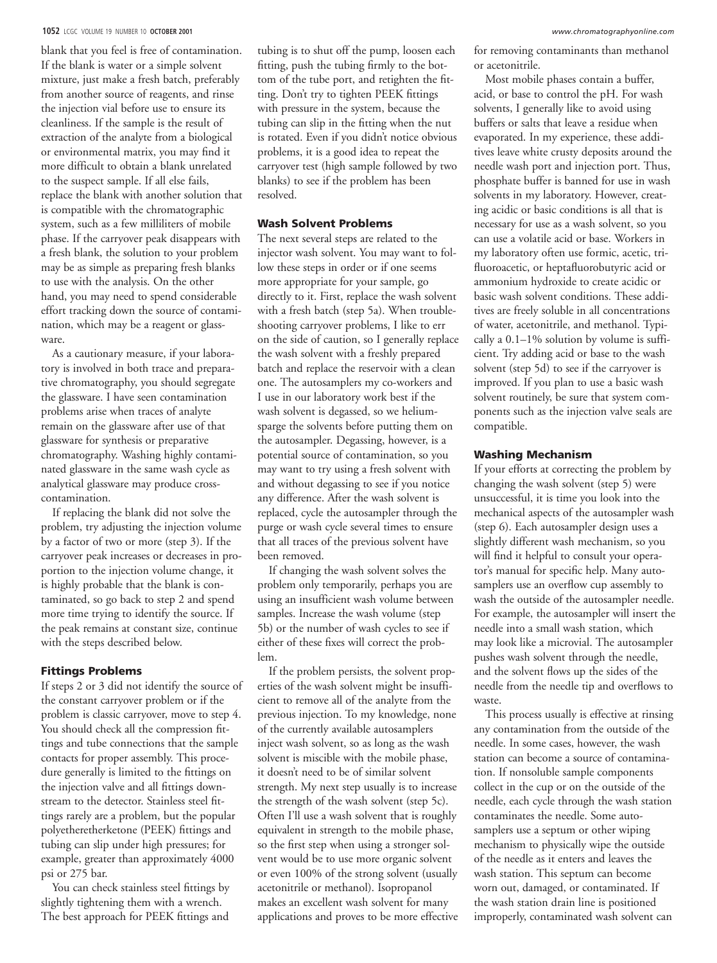#### **1052** LCGC VOLUME 19 NUMBER 10 **OCTOBER 2001** *www.chromatographyonline.com*

blank that you feel is free of contamination. If the blank is water or a simple solvent mixture, just make a fresh batch, preferably from another source of reagents, and rinse the injection vial before use to ensure its cleanliness. If the sample is the result of extraction of the analyte from a biological or environmental matrix, you may find it more difficult to obtain a blank unrelated to the suspect sample. If all else fails, replace the blank with another solution that is compatible with the chromatographic system, such as a few milliliters of mobile phase. If the carryover peak disappears with a fresh blank, the solution to your problem may be as simple as preparing fresh blanks to use with the analysis. On the other hand, you may need to spend considerable effort tracking down the source of contamination, which may be a reagent or glassware.

As a cautionary measure, if your laboratory is involved in both trace and preparative chromatography, you should segregate the glassware. I have seen contamination problems arise when traces of analyte remain on the glassware after use of that glassware for synthesis or preparative chromatography. Washing highly contaminated glassware in the same wash cycle as analytical glassware may produce crosscontamination.

If replacing the blank did not solve the problem, try adjusting the injection volume by a factor of two or more (step 3). If the carryover peak increases or decreases in proportion to the injection volume change, it is highly probable that the blank is contaminated, so go back to step 2 and spend more time trying to identify the source. If the peak remains at constant size, continue with the steps described below.

#### **Fittings Problems**

If steps 2 or 3 did not identify the source of the constant carryover problem or if the problem is classic carryover, move to step 4. You should check all the compression fittings and tube connections that the sample contacts for proper assembly. This procedure generally is limited to the fittings on the injection valve and all fittings downstream to the detector. Stainless steel fittings rarely are a problem, but the popular polyetheretherketone (PEEK) fittings and tubing can slip under high pressures; for example, greater than approximately 4000 psi or 275 bar.

You can check stainless steel fittings by slightly tightening them with a wrench. The best approach for PEEK fittings and

tubing is to shut off the pump, loosen each fitting, push the tubing firmly to the bottom of the tube port, and retighten the fitting. Don't try to tighten PEEK fittings with pressure in the system, because the tubing can slip in the fitting when the nut is rotated. Even if you didn't notice obvious problems, it is a good idea to repeat the carryover test (high sample followed by two blanks) to see if the problem has been resolved.

#### **Wash Solvent Problems**

The next several steps are related to the injector wash solvent. You may want to follow these steps in order or if one seems more appropriate for your sample, go directly to it. First, replace the wash solvent with a fresh batch (step 5a). When troubleshooting carryover problems, I like to err on the side of caution, so I generally replace the wash solvent with a freshly prepared batch and replace the reservoir with a clean one. The autosamplers my co-workers and I use in our laboratory work best if the wash solvent is degassed, so we heliumsparge the solvents before putting them on the autosampler. Degassing, however, is a potential source of contamination, so you may want to try using a fresh solvent with and without degassing to see if you notice any difference. After the wash solvent is replaced, cycle the autosampler through the purge or wash cycle several times to ensure that all traces of the previous solvent have been removed.

If changing the wash solvent solves the problem only temporarily, perhaps you are using an insufficient wash volume between samples. Increase the wash volume (step 5b) or the number of wash cycles to see if either of these fixes will correct the problem.

If the problem persists, the solvent properties of the wash solvent might be insufficient to remove all of the analyte from the previous injection. To my knowledge, none of the currently available autosamplers inject wash solvent, so as long as the wash solvent is miscible with the mobile phase, it doesn't need to be of similar solvent strength. My next step usually is to increase the strength of the wash solvent (step 5c). Often I'll use a wash solvent that is roughly equivalent in strength to the mobile phase, so the first step when using a stronger solvent would be to use more organic solvent or even 100% of the strong solvent (usually acetonitrile or methanol). Isopropanol makes an excellent wash solvent for many applications and proves to be more effective

for removing contaminants than methanol or acetonitrile.

Most mobile phases contain a buffer, acid, or base to control the pH. For wash solvents, I generally like to avoid using buffers or salts that leave a residue when evaporated. In my experience, these additives leave white crusty deposits around the needle wash port and injection port. Thus, phosphate buffer is banned for use in wash solvents in my laboratory. However, creating acidic or basic conditions is all that is necessary for use as a wash solvent, so you can use a volatile acid or base. Workers in my laboratory often use formic, acetic, trifluoroacetic, or heptafluorobutyric acid or ammonium hydroxide to create acidic or basic wash solvent conditions. These additives are freely soluble in all concentrations of water, acetonitrile, and methanol. Typically a 0.1–1% solution by volume is sufficient. Try adding acid or base to the wash solvent (step 5d) to see if the carryover is improved. If you plan to use a basic wash solvent routinely, be sure that system components such as the injection valve seals are compatible.

## **Washing Mechanism**

If your efforts at correcting the problem by changing the wash solvent (step 5) were unsuccessful, it is time you look into the mechanical aspects of the autosampler wash (step 6). Each autosampler design uses a slightly different wash mechanism, so you will find it helpful to consult your operator's manual for specific help. Many autosamplers use an overflow cup assembly to wash the outside of the autosampler needle. For example, the autosampler will insert the needle into a small wash station, which may look like a microvial. The autosampler pushes wash solvent through the needle, and the solvent flows up the sides of the needle from the needle tip and overflows to waste.

This process usually is effective at rinsing any contamination from the outside of the needle. In some cases, however, the wash station can become a source of contamination. If nonsoluble sample components collect in the cup or on the outside of the needle, each cycle through the wash station contaminates the needle. Some autosamplers use a septum or other wiping mechanism to physically wipe the outside of the needle as it enters and leaves the wash station. This septum can become worn out, damaged, or contaminated. If the wash station drain line is positioned improperly, contaminated wash solvent can